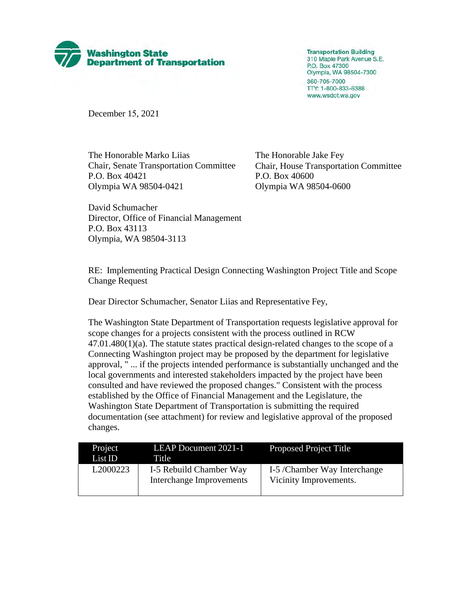

**Transportation Building** 310 Maple Park Avenue S.E. P.O. Box 47300 Olympia, WA 98504-7300 360-705-7000 TTY: 1-800-833-6388 www.wsdot.wa.gov

December 15, 2021

The Honorable Marko Liias Chair, Senate Transportation Committee P.O. Box 40421 Olympia WA 98504-0421

The Honorable Jake Fey Chair, House Transportation Committee P.O. Box 40600 Olympia WA 98504-0600

David Schumacher Director, Office of Financial Management P.O. Box 43113 Olympia, WA 98504-3113

RE: Implementing Practical Design Connecting Washington Project Title and Scope Change Request

Dear Director Schumacher, Senator Liias and Representative Fey,

The Washington State Department of Transportation requests legislative approval for scope changes for a projects consistent with the process outlined in RCW  $47.01.480(1)(a)$ . The statute states practical design-related changes to the scope of a Connecting Washington project may be proposed by the department for legislative approval, " ... if the projects intended performance is substantially unchanged and the local governments and interested stakeholders impacted by the project have been consulted and have reviewed the proposed changes." Consistent with the process established by the Office of Financial Management and the Legislature, the Washington State Department of Transportation is submitting the required documentation (see attachment) for review and legislative approval of the proposed changes.

| Project<br>List ID | <b>LEAP Document 2021-1</b><br>Title                | <b>Proposed Project Title</b>                          |
|--------------------|-----------------------------------------------------|--------------------------------------------------------|
| L2000223           | I-5 Rebuild Chamber Way<br>Interchange Improvements | I-5 /Chamber Way Interchange<br>Vicinity Improvements. |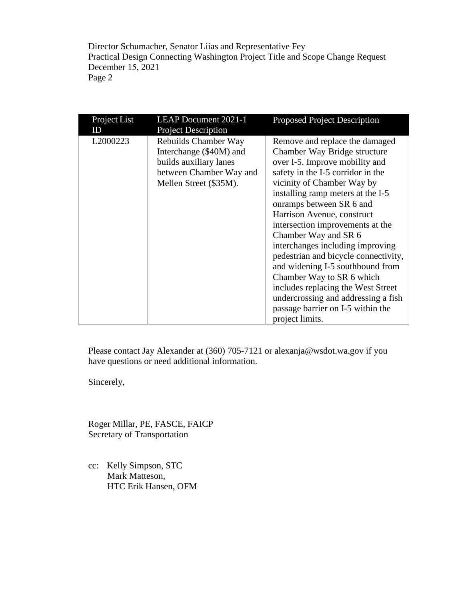Director Schumacher, Senator Liias and Representative Fey Practical Design Connecting Washington Project Title and Scope Change Request December 15, 2021 Page 2

| Project List<br>ID   | <b>LEAP Document 2021-1</b><br><b>Project Description</b>                                                                      | <b>Proposed Project Description</b>                                                                                                                                                                                                                                                                                                                                                                                                                                                                                                                                                                              |
|----------------------|--------------------------------------------------------------------------------------------------------------------------------|------------------------------------------------------------------------------------------------------------------------------------------------------------------------------------------------------------------------------------------------------------------------------------------------------------------------------------------------------------------------------------------------------------------------------------------------------------------------------------------------------------------------------------------------------------------------------------------------------------------|
| L <sub>2000223</sub> | Rebuilds Chamber Way<br>Interchange (\$40M) and<br>builds auxiliary lanes<br>between Chamber Way and<br>Mellen Street (\$35M). | Remove and replace the damaged<br>Chamber Way Bridge structure<br>over I-5. Improve mobility and<br>safety in the I-5 corridor in the<br>vicinity of Chamber Way by<br>installing ramp meters at the I-5<br>onramps between SR 6 and<br>Harrison Avenue, construct<br>intersection improvements at the<br>Chamber Way and SR 6<br>interchanges including improving<br>pedestrian and bicycle connectivity,<br>and widening I-5 southbound from<br>Chamber Way to SR 6 which<br>includes replacing the West Street<br>undercrossing and addressing a fish<br>passage barrier on I-5 within the<br>project limits. |

Please contact Jay Alexander at (360) 705-7121 or [alexanja@wsdot.wa.gov](mailto:alexanja@wsdot.wa.gov) if you have questions or need additional information.

Sincerely,

Roger Millar, PE, FASCE, FAICP Secretary of Transportation

cc: Kelly Simpson, STC Mark Matteson, HTC Erik Hansen, OFM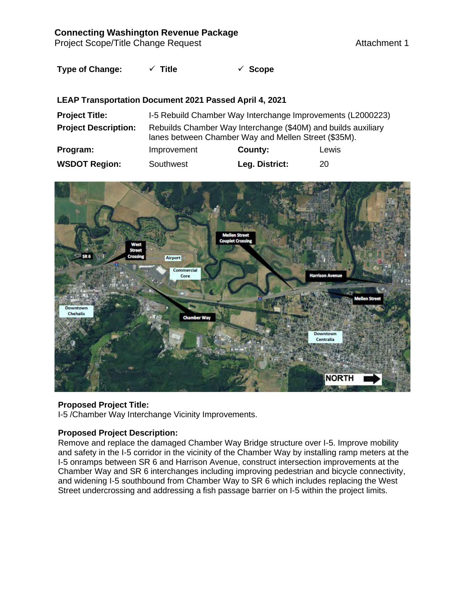## **Connecting Washington Revenue Package**

Project Scope/Title Change Request Attachment 1

# **Type of Change: Title Scope**

## **LEAP Transportation Document 2021 Passed April 4, 2021**

| <b>Project Title:</b>       | I-5 Rebuild Chamber Way Interchange Improvements (L2000223)                                                           |                |       |  |  |
|-----------------------------|-----------------------------------------------------------------------------------------------------------------------|----------------|-------|--|--|
| <b>Project Description:</b> | Rebuilds Chamber Way Interchange (\$40M) and builds auxiliary<br>lanes between Chamber Way and Mellen Street (\$35M). |                |       |  |  |
| Program:                    | Improvement                                                                                                           | County:        | Lewis |  |  |
| <b>WSDOT Region:</b>        | Southwest                                                                                                             | Leg. District: | 20    |  |  |



#### **Proposed Project Title:**

I-5 /Chamber Way Interchange Vicinity Improvements.

### **Proposed Project Description:**

Remove and replace the damaged Chamber Way Bridge structure over I-5. Improve mobility and safety in the I-5 corridor in the vicinity of the Chamber Way by installing ramp meters at the I-5 onramps between SR 6 and Harrison Avenue, construct intersection improvements at the Chamber Way and SR 6 interchanges including improving pedestrian and bicycle connectivity, and widening I-5 southbound from Chamber Way to SR 6 which includes replacing the West Street undercrossing and addressing a fish passage barrier on I-5 within the project limits.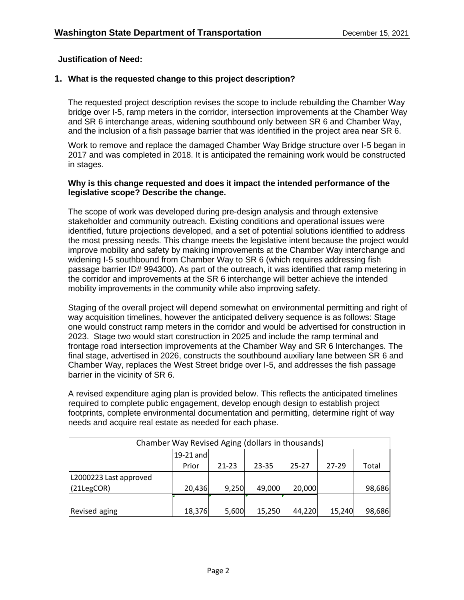### **Justification of Need:**

## **1. What is the requested change to this project description?**

The requested project description revises the scope to include rebuilding the Chamber Way bridge over I-5, ramp meters in the corridor, intersection improvements at the Chamber Way and SR 6 interchange areas, widening southbound only between SR 6 and Chamber Way, and the inclusion of a fish passage barrier that was identified in the project area near SR 6.

Work to remove and replace the damaged Chamber Way Bridge structure over I-5 began in 2017 and was completed in 2018. It is anticipated the remaining work would be constructed in stages.

#### **Why is this change requested and does it impact the intended performance of the legislative scope? Describe the change.**

The scope of work was developed during pre-design analysis and through extensive stakeholder and community outreach. Existing conditions and operational issues were identified, future projections developed, and a set of potential solutions identified to address the most pressing needs. This change meets the legislative intent because the project would improve mobility and safety by making improvements at the Chamber Way interchange and widening I-5 southbound from Chamber Way to SR 6 (which requires addressing fish passage barrier ID# 994300). As part of the outreach, it was identified that ramp metering in the corridor and improvements at the SR 6 interchange will better achieve the intended mobility improvements in the community while also improving safety.

Staging of the overall project will depend somewhat on environmental permitting and right of way acquisition timelines, however the anticipated delivery sequence is as follows: Stage one would construct ramp meters in the corridor and would be advertised for construction in 2023. Stage two would start construction in 2025 and include the ramp terminal and frontage road intersection improvements at the Chamber Way and SR 6 Interchanges. The final stage, advertised in 2026, constructs the southbound auxiliary lane between SR 6 and Chamber Way, replaces the West Street bridge over I-5, and addresses the fish passage barrier in the vicinity of SR 6.

A revised expenditure aging plan is provided below. This reflects the anticipated timelines required to complete public engagement, develop enough design to establish project footprints, complete environmental documentation and permitting, determine right of way needs and acquire real estate as needed for each phase.

| Chamber Way Revised Aging (dollars in thousands) |             |           |        |           |           |        |  |  |  |
|--------------------------------------------------|-------------|-----------|--------|-----------|-----------|--------|--|--|--|
|                                                  | $19-21$ and |           |        |           |           |        |  |  |  |
|                                                  | Prior       | $21 - 23$ | 23-35  | $25 - 27$ | $27 - 29$ | Total  |  |  |  |
| L2000223 Last approved                           |             |           |        |           |           |        |  |  |  |
| $(21 \text{LegCOR})$                             | 20,436      | 9,250     | 49,000 | 20,000    |           | 98,686 |  |  |  |
|                                                  |             |           |        |           |           |        |  |  |  |
| Revised aging                                    | 18,376      | 5,600     | 15,250 | 44,220    | 15,240    | 98,686 |  |  |  |